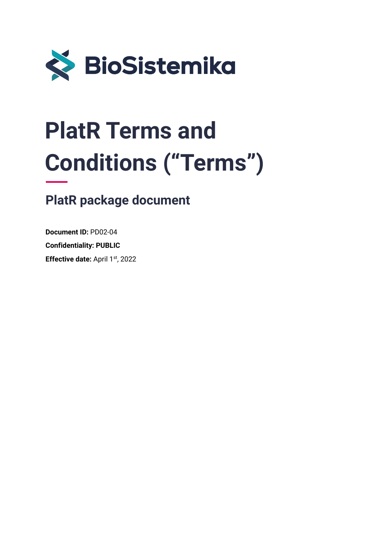

# **PlatR Terms and Conditions ("Terms")**

# **PlatR package document**

**Document ID:** PD02-04 **Confidentiality: PUBLIC Effective date:** April 1st, 2022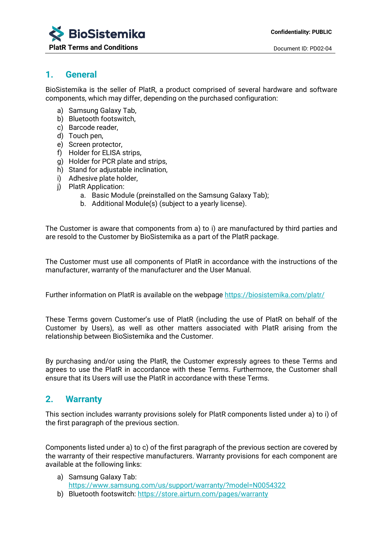

#### **1. General**

BioSistemika is the seller of PlatR, a product comprised of several hardware and software components, which may differ, depending on the purchased configuration:

- a) Samsung Galaxy Tab,
- b) Bluetooth footswitch,
- c) Barcode reader,
- d) Touch pen,
- e) Screen protector,
- f) Holder for ELISA strips,
- g) Holder for PCR plate and strips,
- h) Stand for adjustable inclination,
- i) Adhesive plate holder,
- j) PlatR Application:
	- a. Basic Module (preinstalled on the Samsung Galaxy Tab);
	- b. Additional Module(s) (subject to a yearly license).

The Customer is aware that components from a) to i) are manufactured by third parties and are resold to the Customer by BioSistemika as a part of the PlatR package.

The Customer must use all components of PlatR in accordance with the instructions of the manufacturer, warranty of the manufacturer and the User Manual.

Further information on PlatR is available on the webpage<https://biosistemika.com/platr/>

These Terms govern Customer's use of PlatR (including the use of PlatR on behalf of the Customer by Users), as well as other matters associated with PlatR arising from the relationship between BioSistemika and the Customer.

By purchasing and/or using the PlatR, the Customer expressly agrees to these Terms and agrees to use the PlatR in accordance with these Terms. Furthermore, the Customer shall ensure that its Users will use the PlatR in accordance with these Terms.

#### **2. Warranty**

This section includes warranty provisions solely for PlatR components listed under a) to i) of the first paragraph of the previous section.

Components listed under a) to c) of the first paragraph of the previous section are covered by the warranty of their respective manufacturers. Warranty provisions for each component are available at the following links:

- a) Samsung Galaxy Tab: <https://www.samsung.com/us/support/warranty/?model=N0054322>
- b) Bluetooth footswitch:<https://store.airturn.com/pages/warranty>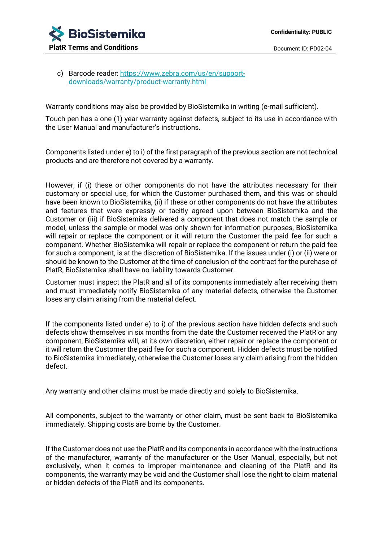

c) Barcode reader: [https://www.zebra.com/us/en/support](https://www.zebra.com/us/en/support-downloads/warranty/product-warranty.html)[downloads/warranty/product-warranty.html](https://www.zebra.com/us/en/support-downloads/warranty/product-warranty.html) 

Warranty conditions may also be provided by BioSistemika in writing (e-mail sufficient).

Touch pen has a one (1) year warranty against defects, subject to its use in accordance with the User Manual and manufacturer's instructions.

Components listed under e) to i) of the first paragraph of the previous section are not technical products and are therefore not covered by a warranty.

However, if (i) these or other components do not have the attributes necessary for their customary or special use, for which the Customer purchased them, and this was or should have been known to BioSistemika, (ii) if these or other components do not have the attributes and features that were expressly or tacitly agreed upon between BioSistemika and the Customer or (iii) if BioSistemika delivered a component that does not match the sample or model, unless the sample or model was only shown for information purposes, BioSistemika will repair or replace the component or it will return the Customer the paid fee for such a component. Whether BioSistemika will repair or replace the component or return the paid fee for such a component, is at the discretion of BioSistemika. If the issues under (i) or (ii) were or should be known to the Customer at the time of conclusion of the contract for the purchase of PlatR, BioSistemika shall have no liability towards Customer.

Customer must inspect the PlatR and all of its components immediately after receiving them and must immediately notify BioSistemika of any material defects, otherwise the Customer loses any claim arising from the material defect.

If the components listed under e) to i) of the previous section have hidden defects and such defects show themselves in six months from the date the Customer received the PlatR or any component, BioSistemika will, at its own discretion, either repair or replace the component or it will return the Customer the paid fee for such a component. Hidden defects must be notified to BioSistemika immediately, otherwise the Customer loses any claim arising from the hidden defect.

Any warranty and other claims must be made directly and solely to BioSistemika.

All components, subject to the warranty or other claim, must be sent back to BioSistemika immediately. Shipping costs are borne by the Customer.

If the Customer does not use the PlatR and its components in accordance with the instructions of the manufacturer, warranty of the manufacturer or the User Manual, especially, but not exclusively, when it comes to improper maintenance and cleaning of the PlatR and its components, the warranty may be void and the Customer shall lose the right to claim material or hidden defects of the PlatR and its components.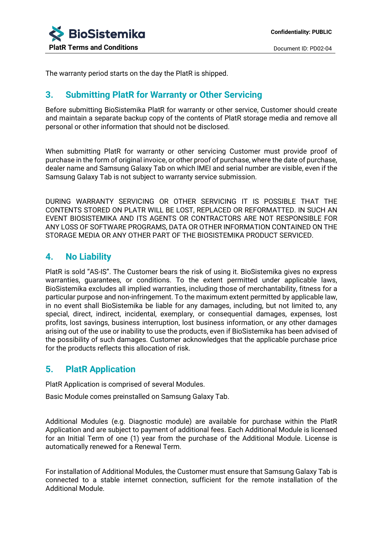

The warranty period starts on the day the PlatR is shipped.

# **3. Submitting PlatR for Warranty or Other Servicing**

Before submitting BioSistemika PlatR for warranty or other service, Customer should create and maintain a separate backup copy of the contents of PlatR storage media and remove all personal or other information that should not be disclosed.

When submitting PlatR for warranty or other servicing Customer must provide proof of purchase in the form of original invoice, or other proof of purchase, where the date of purchase, dealer name and Samsung Galaxy Tab on which IMEI and serial number are visible, even if the Samsung Galaxy Tab is not subject to warranty service submission.

DURING WARRANTY SERVICING OR OTHER SERVICING IT IS POSSIBLE THAT THE CONTENTS STORED ON PLATR WILL BE LOST, REPLACED OR REFORMATTED. IN SUCH AN EVENT BIOSISTEMIKA AND ITS AGENTS OR CONTRACTORS ARE NOT RESPONSIBLE FOR ANY LOSS OF SOFTWARE PROGRAMS, DATA OR OTHER INFORMATION CONTAINED ON THE STORAGE MEDIA OR ANY OTHER PART OF THE BIOSISTEMIKA PRODUCT SERVICED.

# **4. No Liability**

PlatR is sold "AS-IS". The Customer bears the risk of using it. BioSistemika gives no express warranties, guarantees, or conditions. To the extent permitted under applicable laws, BioSistemika excludes all implied warranties, including those of merchantability, fitness for a particular purpose and non-infringement. To the maximum extent permitted by applicable law, in no event shall BioSistemika be liable for any damages, including, but not limited to, any special, direct, indirect, incidental, exemplary, or consequential damages, expenses, lost profits, lost savings, business interruption, lost business information, or any other damages arising out of the use or inability to use the products, even if BioSistemika has been advised of the possibility of such damages. Customer acknowledges that the applicable purchase price for the products reflects this allocation of risk.

### **5. PlatR Application**

PlatR Application is comprised of several Modules.

Basic Module comes preinstalled on Samsung Galaxy Tab.

Additional Modules (e.g. Diagnostic module) are available for purchase within the PlatR Application and are subject to payment of additional fees. Each Additional Module is licensed for an Initial Term of one (1) year from the purchase of the Additional Module. License is automatically renewed for a Renewal Term.

For installation of Additional Modules, the Customer must ensure that Samsung Galaxy Tab is connected to a stable internet connection, sufficient for the remote installation of the Additional Module.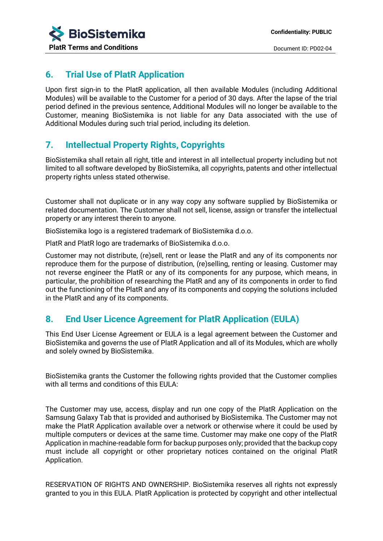

# **6. Trial Use of PlatR Application**

Upon first sign-in to the PlatR application, all then available Modules (including Additional Modules) will be available to the Customer for a period of 30 days. After the lapse of the trial period defined in the previous sentence, Additional Modules will no longer be available to the Customer, meaning BioSistemika is not liable for any Data associated with the use of Additional Modules during such trial period, including its deletion.

# **7. Intellectual Property Rights, Copyrights**

BioSistemika shall retain all right, title and interest in all intellectual property including but not limited to all software developed by BioSistemika, all copyrights, patents and other intellectual property rights unless stated otherwise.

Customer shall not duplicate or in any way copy any software supplied by BioSistemika or related documentation. The Customer shall not sell, license, assign or transfer the intellectual property or any interest therein to anyone.

BioSistemika logo is a registered trademark of BioSistemika d.o.o.

PlatR and PlatR logo are trademarks of BioSistemika d.o.o.

Customer may not distribute, (re)sell, rent or lease the PlatR and any of its components nor reproduce them for the purpose of distribution, (re)selling, renting or leasing. Customer may not reverse engineer the PlatR or any of its components for any purpose, which means, in particular, the prohibition of researching the PlatR and any of its components in order to find out the functioning of the PlatR and any of its components and copying the solutions included in the PlatR and any of its components.

# **8. End User Licence Agreement for PlatR Application (EULA)**

This End User License Agreement or EULA is a legal agreement between the Customer and BioSistemika and governs the use of PlatR Application and all of its Modules, which are wholly and solely owned by BioSistemika.

BioSistemika grants the Customer the following rights provided that the Customer complies with all terms and conditions of this FULA:

The Customer may use, access, display and run one copy of the PlatR Application on the Samsung Galaxy Tab that is provided and authorised by BioSistemika. The Customer may not make the PlatR Application available over a network or otherwise where it could be used by multiple computers or devices at the same time. Customer may make one copy of the PlatR Application in machine-readable form for backup purposes only; provided that the backup copy must include all copyright or other proprietary notices contained on the original PlatR Application.

RESERVATION OF RIGHTS AND OWNERSHIP. BioSistemika reserves all rights not expressly granted to you in this EULA. PlatR Application is protected by copyright and other intellectual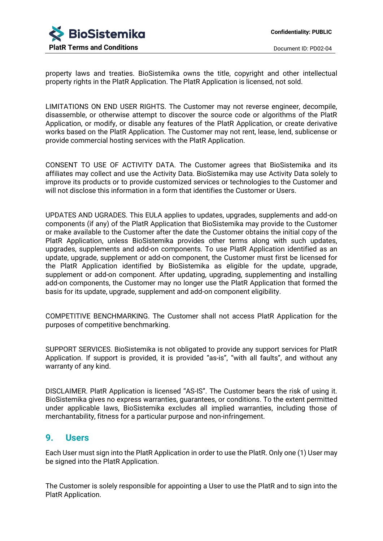

property laws and treaties. BioSistemika owns the title, copyright and other intellectual property rights in the PlatR Application. The PlatR Application is licensed, not sold.

LIMITATIONS ON END USER RIGHTS. The Customer may not reverse engineer, decompile, disassemble, or otherwise attempt to discover the source code or algorithms of the PlatR Application, or modify, or disable any features of the PlatR Application, or create derivative works based on the PlatR Application. The Customer may not rent, lease, lend, sublicense or provide commercial hosting services with the PlatR Application.

CONSENT TO USE OF ACTIVITY DATA. The Customer agrees that BioSistemika and its affiliates may collect and use the Activity Data. BioSistemika may use Activity Data solely to improve its products or to provide customized services or technologies to the Customer and will not disclose this information in a form that identifies the Customer or Users.

UPDATES AND UGRADES. This EULA applies to updates, upgrades, supplements and add-on components (if any) of the PlatR Application that BioSistemika may provide to the Customer or make available to the Customer after the date the Customer obtains the initial copy of the PlatR Application, unless BioSistemika provides other terms along with such updates, upgrades, supplements and add-on components. To use PlatR Application identified as an update, upgrade, supplement or add-on component, the Customer must first be licensed for the PlatR Application identified by BioSistemika as eligible for the update, upgrade, supplement or add-on component. After updating, upgrading, supplementing and installing add-on components, the Customer may no longer use the PlatR Application that formed the basis for its update, upgrade, supplement and add-on component eligibility.

COMPETITIVE BENCHMARKING. The Customer shall not access PlatR Application for the purposes of competitive benchmarking.

SUPPORT SERVICES. BioSistemika is not obligated to provide any support services for PlatR Application. If support is provided, it is provided "as-is", "with all faults", and without any warranty of any kind.

DISCLAIMER. PlatR Application is licensed "AS-IS". The Customer bears the risk of using it. BioSistemika gives no express warranties, guarantees, or conditions. To the extent permitted under applicable laws, BioSistemika excludes all implied warranties, including those of merchantability, fitness for a particular purpose and non-infringement.

#### **9. Users**

Each User must sign into the PlatR Application in order to use the PlatR. Only one (1) User may be signed into the PlatR Application.

The Customer is solely responsible for appointing a User to use the PlatR and to sign into the PlatR Application.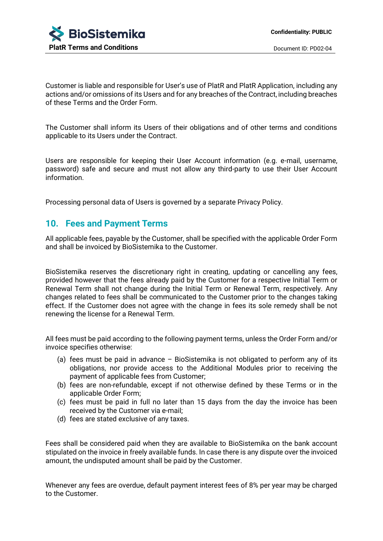Customer is liable and responsible for User's use of PlatR and PlatR Application, including any actions and/or omissions of its Users and for any breaches of the Contract, including breaches of these Terms and the Order Form.

The Customer shall inform its Users of their obligations and of other terms and conditions applicable to its Users under the Contract.

Users are responsible for keeping their User Account information (e.g. e-mail, username, password) safe and secure and must not allow any third-party to use their User Account information.

Processing personal data of Users is governed by a separate Privacy Policy.

#### **10. Fees and Payment Terms**

All applicable fees, payable by the Customer, shall be specified with the applicable Order Form and shall be invoiced by BioSistemika to the Customer.

BioSistemika reserves the discretionary right in creating, updating or cancelling any fees, provided however that the fees already paid by the Customer for a respective Initial Term or Renewal Term shall not change during the Initial Term or Renewal Term, respectively. Any changes related to fees shall be communicated to the Customer prior to the changes taking effect. If the Customer does not agree with the change in fees its sole remedy shall be not renewing the license for a Renewal Term.

All fees must be paid according to the following payment terms, unless the Order Form and/or invoice specifies otherwise:

- (a) fees must be paid in advance BioSistemika is not obligated to perform any of its obligations, nor provide access to the Additional Modules prior to receiving the payment of applicable fees from Customer;
- (b) fees are non-refundable, except if not otherwise defined by these Terms or in the applicable Order Form;
- (c) fees must be paid in full no later than 15 days from the day the invoice has been received by the Customer via e-mail;
- (d) fees are stated exclusive of any taxes.

Fees shall be considered paid when they are available to BioSistemika on the bank account stipulated on the invoice in freely available funds. In case there is any dispute over the invoiced amount, the undisputed amount shall be paid by the Customer.

Whenever any fees are overdue, default payment interest fees of 8% per year may be charged to the Customer.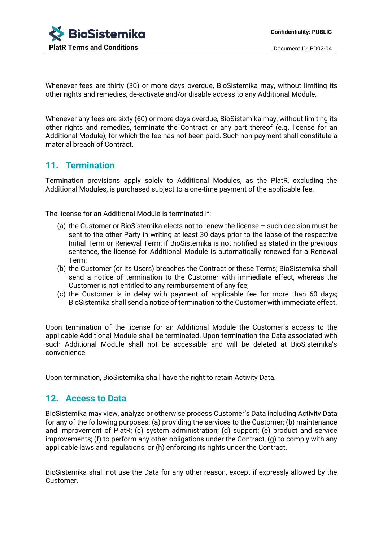

Whenever fees are thirty (30) or more days overdue, BioSistemika may, without limiting its other rights and remedies, de-activate and/or disable access to any Additional Module.

Whenever any fees are sixty (60) or more days overdue, BioSistemika may, without limiting its other rights and remedies, terminate the Contract or any part thereof (e.g. license for an Additional Module), for which the fee has not been paid. Such non-payment shall constitute a material breach of Contract.

# **11. Termination**

Termination provisions apply solely to Additional Modules, as the PlatR, excluding the Additional Modules, is purchased subject to a one-time payment of the applicable fee.

The license for an Additional Module is terminated if:

- (a) the Customer or BioSistemika elects not to renew the license such decision must be sent to the other Party in writing at least 30 days prior to the lapse of the respective Initial Term or Renewal Term; if BioSistemika is not notified as stated in the previous sentence, the license for Additional Module is automatically renewed for a Renewal Term;
- (b) the Customer (or its Users) breaches the Contract or these Terms; BioSistemika shall send a notice of termination to the Customer with immediate effect, whereas the Customer is not entitled to any reimbursement of any fee;
- (c) the Customer is in delay with payment of applicable fee for more than 60 days; BioSistemika shall send a notice of termination to the Customer with immediate effect.

Upon termination of the license for an Additional Module the Customer's access to the applicable Additional Module shall be terminated. Upon termination the Data associated with such Additional Module shall not be accessible and will be deleted at BioSistemika's convenience.

Upon termination, BioSistemika shall have the right to retain Activity Data.

#### **12. Access to Data**

BioSistemika may view, analyze or otherwise process Customer's Data including Activity Data for any of the following purposes: (a) providing the services to the Customer; (b) maintenance and improvement of PlatR; (c) system administration; (d) support; (e) product and service improvements; (f) to perform any other obligations under the Contract, (g) to comply with any applicable laws and regulations, or (h) enforcing its rights under the Contract.

BioSistemika shall not use the Data for any other reason, except if expressly allowed by the Customer.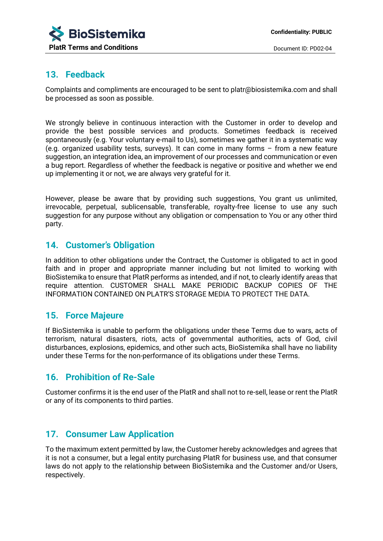

## **13. Feedback**

Complaints and compliments are encouraged to be sent to platr@biosistemika.com and shall be processed as soon as possible.

We strongly believe in continuous interaction with the Customer in order to develop and provide the best possible services and products. Sometimes feedback is received spontaneously (e.g. Your voluntary e-mail to Us), sometimes we gather it in a systematic way (e.g. organized usability tests, surveys). It can come in many forms – from a new feature suggestion, an integration idea, an improvement of our processes and communication or even a bug report. Regardless of whether the feedback is negative or positive and whether we end up implementing it or not, we are always very grateful for it.

However, please be aware that by providing such suggestions, You grant us unlimited, irrevocable, perpetual, sublicensable, transferable, royalty-free license to use any such suggestion for any purpose without any obligation or compensation to You or any other third party.

#### **14. Customer's Obligation**

In addition to other obligations under the Contract, the Customer is obligated to act in good faith and in proper and appropriate manner including but not limited to working with BioSistemika to ensure that PlatR performs as intended, and if not, to clearly identify areas that require attention. CUSTOMER SHALL MAKE PERIODIC BACKUP COPIES OF THE INFORMATION CONTAINED ON PLATR'S STORAGE MEDIA TO PROTECT THE DATA.

### **15. Force Majeure**

If BioSistemika is unable to perform the obligations under these Terms due to wars, acts of terrorism, natural disasters, riots, acts of governmental authorities, acts of God, civil disturbances, explosions, epidemics, and other such acts, BioSistemika shall have no liability under these Terms for the non-performance of its obligations under these Terms.

### **16. Prohibition of Re-Sale**

Customer confirms it is the end user of the PlatR and shall not to re-sell, lease or rent the PlatR or any of its components to third parties.

### **17. Consumer Law Application**

To the maximum extent permitted by law, the Customer hereby acknowledges and agrees that it is not a consumer, but a legal entity purchasing PlatR for business use, and that consumer laws do not apply to the relationship between BioSistemika and the Customer and/or Users, respectively.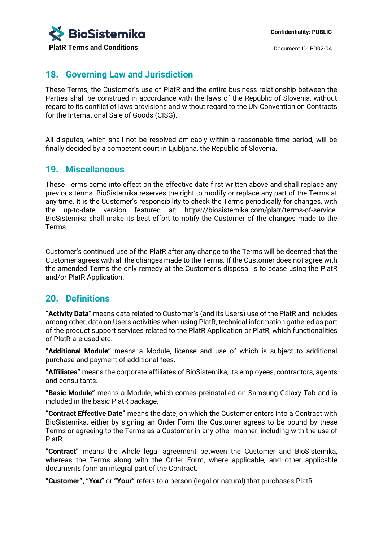

### **18. Governing Law and Jurisdiction**

These Terms, the Customer's use of PlatR and the entire business relationship between the Parties shall be construed in accordance with the laws of the Republic of Slovenia, without regard to its conflict of laws provisions and without regard to the UN Convention on Contracts for the International Sale of Goods (CISG).

All disputes, which shall not be resolved amicably within a reasonable time period, will be finally decided by a competent court in Ljubljana, the Republic of Slovenia.

#### **19. Miscellaneous**

These Terms come into effect on the effective date first written above and shall replace any previous terms. BioSistemika reserves the right to modify or replace any part of the Terms at any time. It is the Customer's responsibility to check the Terms periodically for changes, with the up-to-date version featured at: https://biosistemika.com/platr/terms-of-service. BioSistemika shall make its best effort to notify the Customer of the changes made to the Terms.

Customer's continued use of the PlatR after any change to the Terms will be deemed that the Customer agrees with all the changes made to the Terms. If the Customer does not agree with the amended Terms the only remedy at the Customer's disposal is to cease using the PlatR and/or PlatR Application.

#### **20. Definitions**

**"Activity Data"** means data related to Customer's (and its Users) use of the PlatR and includes among other, data on Users activities when using PlatR, technical information gathered as part of the product support services related to the PlatR Application or PlatR, which functionalities of PlatR are used etc.

**"Additional Module"** means a Module, license and use of which is subject to additional purchase and payment of additional fees.

**"Affiliates"** means the corporate affiliates of BioSistemika, its employees, contractors, agents and consultants.

**"Basic Module"** means a Module, which comes preinstalled on Samsung Galaxy Tab and is included in the basic PlatR package.

**"Contract Effective Date"** means the date, on which the Customer enters into a Contract with BioSistemika, either by signing an Order Form the Customer agrees to be bound by these Terms or agreeing to the Terms as a Customer in any other manner, including with the use of PlatR.

**"Contract"** means the whole legal agreement between the Customer and BioSistemika, whereas the Terms along with the Order Form, where applicable, and other applicable documents form an integral part of the Contract.

**"Customer", "You"** or **"Your"** refers to a person (legal or natural) that purchases PlatR.